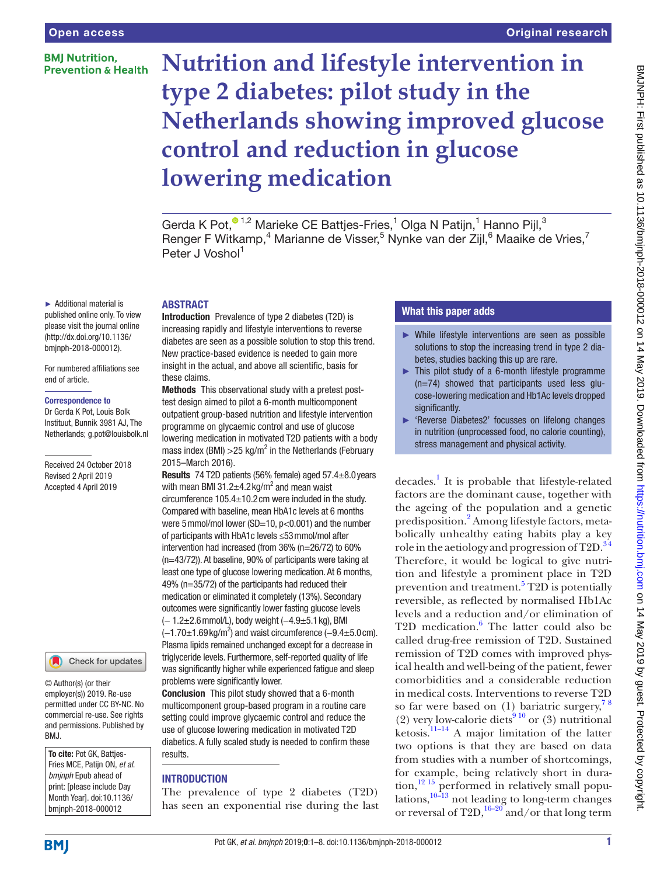### **BMI Nutrition. Prevention & Health**

### Original research

# **Nutrition and lifestyle intervention in type 2 diabetes: pilot study in the Netherlands showing improved glucose control and reduction in glucose lowering medication**

Gerda K Pot[,](http://orcid.org/0000-0002-0863-4484)<sup>01,2</sup> Marieke CE Battjes-Fries,<sup>1</sup> Olga N Patijn,<sup>1</sup> Hanno Pijl,<sup>3</sup> Renger F Witkamp,<sup>4</sup> Marianne de Visser,<sup>5</sup> Nynke van der Zijl,<sup>6</sup> Maaike de Vries,<sup>7</sup> Peter J Voshol<sup>1</sup>

#### ► Additional material is published online only. To view please visit the journal online [\(http://dx.doi.org/10.1136/](http://dx.doi.org/10.1136/bmjnph-2018-000012) [bmjnph-2018-000012\)](http://dx.doi.org/10.1136/bmjnph-2018-000012).

For numbered affiliations see end of article.

#### Correspondence to

Dr Gerda K Pot, Louis Bolk Instituut, Bunnik 3981 AJ, The Netherlands; g.pot@louisbolk.nl

Received 24 October 2018 Revised 2 April 2019 Accepted 4 April 2019

#### Check for updates

© Author(s) (or their employer(s)) 2019. Re-use permitted under CC BY-NC. No commercial re-use. See rights and permissions. Published by BMJ.

To cite: Pot GK, Battjes-Fries MCE, Patijn ON, *et al*. *bmjnph* Epub ahead of print: [please include Day Month Year]. doi:10.1136/ bmjnph-2018-000012

**ABSTRACT** 

Introduction Prevalence of type 2 diabetes (T2D) is increasing rapidly and lifestyle interventions to reverse diabetes are seen as a possible solution to stop this trend. New practice-based evidence is needed to gain more insight in the actual, and above all scientific, basis for these claims.

Methods This observational study with a pretest posttest design aimed to pilot a 6-month multicomponent outpatient group-based nutrition and lifestyle intervention programme on glycaemic control and use of glucose lowering medication in motivated T2D patients with a body mass index (BMI) > 25 kg/m<sup>2</sup> in the Netherlands (February 2015–March 2016).

Results 74 T2D patients (56% female) aged 57.4±8.0years with mean BMI 31.2 $\pm$ 4.2 kg/m<sup>2</sup> and mean waist circumference 105.4±10.2cm were included in the study. Compared with baseline, mean HbA1c levels at 6 months were 5 mmol/mol lower (SD=10, p<0.001) and the number of participants with HbA1c levels ≤53mmol/mol after intervention had increased (from 36% (n=26/72) to 60% (n=43/72)). At baseline, 90% of participants were taking at least one type of glucose lowering medication. At 6 months, 49% (n=35/72) of the participants had reduced their medication or eliminated it completely (13%). Secondary outcomes were significantly lower fasting glucose levels (− 1.2±2.6mmol/L), body weight (−4.9±5.1kg), BMI  $(-1.70\pm1.69\,\text{kg/m}^2)$  and waist circumference  $(-9.4\pm5.0\,\text{cm})$ . Plasma lipids remained unchanged except for a decrease in triglyceride levels. Furthermore, self-reported quality of life was significantly higher while experienced fatigue and sleep problems were significantly lower.

Conclusion This pilot study showed that a 6-month multicomponent group-based program in a routine care setting could improve glycaemic control and reduce the use of glucose lowering medication in motivated T2D diabetics. A fully scaled study is needed to confirm these results.

### **INTRODUCTION**

The prevalence of type 2 diabetes (T2D) has seen an exponential rise during the last

### What this paper adds

- ► While lifestyle interventions are seen as possible solutions to stop the increasing trend in type 2 diabetes, studies backing this up are rare.
- ► This pilot study of a 6-month lifestyle programme (n=74) showed that participants used less glucose-lowering medication and Hb1Ac levels dropped significantly.
- ► 'Reverse Diabetes2' focusses on lifelong changes in nutrition (unprocessed food, no calorie counting), stress management and physical activity.

decades.<sup>[1](#page-6-0)</sup> It is probable that lifestyle-related factors are the dominant cause, together with the ageing of the population and a genetic predisposition.<sup>[2](#page-6-1)</sup> Among lifestyle factors, metabolically unhealthy eating habits play a key role in the aetiology and progression of  $T2D<sup>34</sup>$ Therefore, it would be logical to give nutrition and lifestyle a prominent place in T2D prevention and treatment.<sup>[5](#page-6-3)</sup> T2D is potentially reversible, as reflected by normalised Hb1Ac levels and a reduction and/or elimination of T2D medication.<sup>6</sup> The latter could also be called drug-free remission of T2D. Sustained remission of T2D comes with improved physical health and well-being of the patient, fewer comorbidities and a considerable reduction in medical costs. Interventions to reverse T2D so far were based on  $(1)$  bariatric surgery,<sup>78</sup> (2) very low-calorie diets<sup>910</sup> or (3) nutritional ketosis. $11-14$  A major limitation of the latter two options is that they are based on data from studies with a number of shortcomings, for example, being relatively short in dura- $\text{tion}$ ,<sup>12 15</sup> performed in relatively small populations, $10-13$  not leading to long-term changes or reversal of T2D,  $16-20$  and/or that long term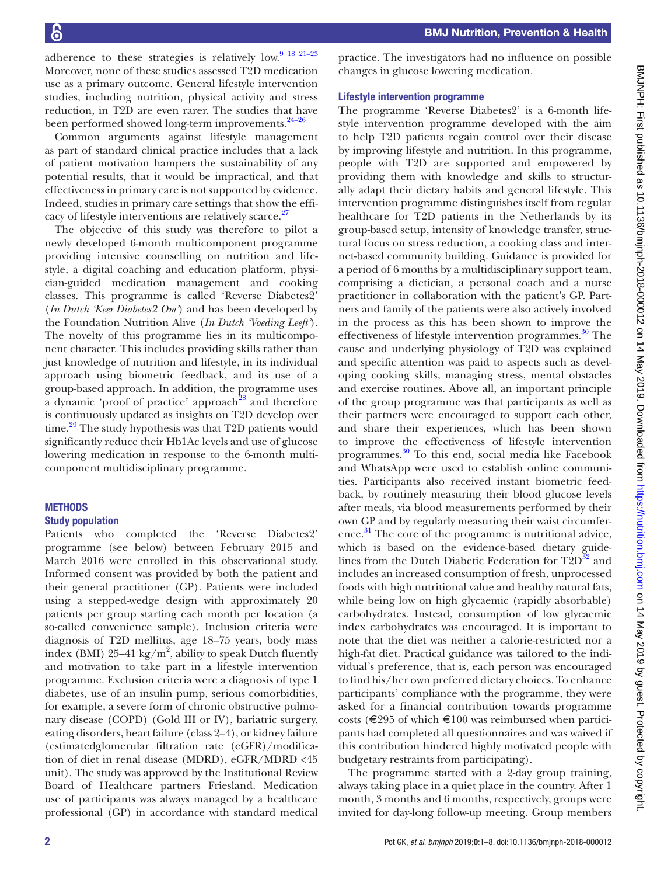adherence to these strategies is relatively low. $9^{9}$  18 21-23 Moreover, none of these studies assessed T2D medication use as a primary outcome. General lifestyle intervention studies, including nutrition, physical activity and stress reduction, in T2D are even rarer. The studies that have been performed showed long-term improvements.<sup>24-26</sup>

Common arguments against lifestyle management as part of standard clinical practice includes that a lack of patient motivation hampers the sustainability of any potential results, that it would be impractical, and that effectiveness in primary care is not supported by evidence. Indeed, studies in primary care settings that show the efficacy of lifestyle interventions are relatively scarce.<sup>27</sup>

The objective of this study was therefore to pilot a newly developed 6-month multicomponent programme providing intensive counselling on nutrition and lifestyle, a digital coaching and education platform, physician-guided medication management and cooking classes. This programme is called 'Reverse Diabetes2' (*In Dutch 'Keer Diabetes2 Om'*) and has been developed by the Foundation Nutrition Alive (*In Dutch 'Voeding Leeft'*). The novelty of this programme lies in its multicomponent character. This includes providing skills rather than just knowledge of nutrition and lifestyle, in its individual approach using biometric feedback, and its use of a group-based approach. In addition, the programme uses a dynamic 'proof of practice' approach<sup>28</sup> and therefore is continuously updated as insights on T2D develop over time.<sup>29</sup> The study hypothesis was that T2D patients would significantly reduce their Hb1Ac levels and use of glucose lowering medication in response to the 6-month multicomponent multidisciplinary programme.

### **METHODS**

### Study population

Patients who completed the 'Reverse Diabetes2' programme (see below) between February 2015 and March 2016 were enrolled in this observational study. Informed consent was provided by both the patient and their general practitioner (GP). Patients were included using a stepped-wedge design with approximately 20 patients per group starting each month per location (a so-called convenience sample). Inclusion criteria were diagnosis of T2D mellitus, age 18–75 years, body mass index (BMI)  $25-41$  kg/m<sup>2</sup>, ability to speak Dutch fluently and motivation to take part in a lifestyle intervention programme. Exclusion criteria were a diagnosis of type 1 diabetes, use of an insulin pump, serious comorbidities, for example, a severe form of chronic obstructive pulmonary disease (COPD) (Gold III or IV), bariatric surgery, eating disorders, heart failure (class 2–4), or kidney failure (estimatedglomerular filtration rate (eGFR)/modification of diet in renal disease (MDRD), eGFR/MDRD <45 unit). The study was approved by the Institutional Review Board of Healthcare partners Friesland. Medication use of participants was always managed by a healthcare professional (GP) in accordance with standard medical

practice. The investigators had no influence on possible changes in glucose lowering medication.

### Lifestyle intervention programme

The programme 'Reverse Diabetes2' is a 6-month lifestyle intervention programme developed with the aim to help T2D patients regain control over their disease by improving lifestyle and nutrition. In this programme, people with T2D are supported and empowered by providing them with knowledge and skills to structurally adapt their dietary habits and general lifestyle. This intervention programme distinguishes itself from regular healthcare for T2D patients in the Netherlands by its group-based setup, intensity of knowledge transfer, structural focus on stress reduction, a cooking class and internet-based community building. Guidance is provided for a period of 6 months by a multidisciplinary support team, comprising a dietician, a personal coach and a nurse practitioner in collaboration with the patient's GP. Partners and family of the patients were also actively involved in the process as this has been shown to improve the effectiveness of lifestyle intervention programmes. $30$  The cause and underlying physiology of T2D was explained and specific attention was paid to aspects such as developing cooking skills, managing stress, mental obstacles and exercise routines. Above all, an important principle of the group programme was that participants as well as their partners were encouraged to support each other, and share their experiences, which has been shown to improve the effectiveness of lifestyle intervention programmes. [30](#page-7-3) To this end, social media like Facebook and WhatsApp were used to establish online communities. Participants also received instant biometric feedback, by routinely measuring their blood glucose levels after meals, via blood measurements performed by their own GP and by regularly measuring their waist circumference. [31](#page-7-4) The core of the programme is nutritional advice, which is based on the evidence-based dietary guidelines from the Dutch Diabetic Federation for  $T2D^{32}$  and includes an increased consumption of fresh, unprocessed foods with high nutritional value and healthy natural fats, while being low on high glycaemic (rapidly absorbable) carbohydrates. Instead, consumption of low glycaemic index carbohydrates was encouraged. It is important to note that the diet was neither a calorie-restricted nor a high-fat diet. Practical guidance was tailored to the individual's preference, that is, each person was encouraged to find his/her own preferred dietary choices. To enhance participants' compliance with the programme, they were asked for a financial contribution towards programme costs ( $\epsilon$ 295 of which  $\epsilon$ 100 was reimbursed when participants had completed all questionnaires and was waived if this contribution hindered highly motivated people with budgetary restraints from participating).

The programme started with a 2-day group training, always taking place in a quiet place in the country. After 1 month, 3 months and 6 months, respectively, groups were invited for day-long follow-up meeting. Group members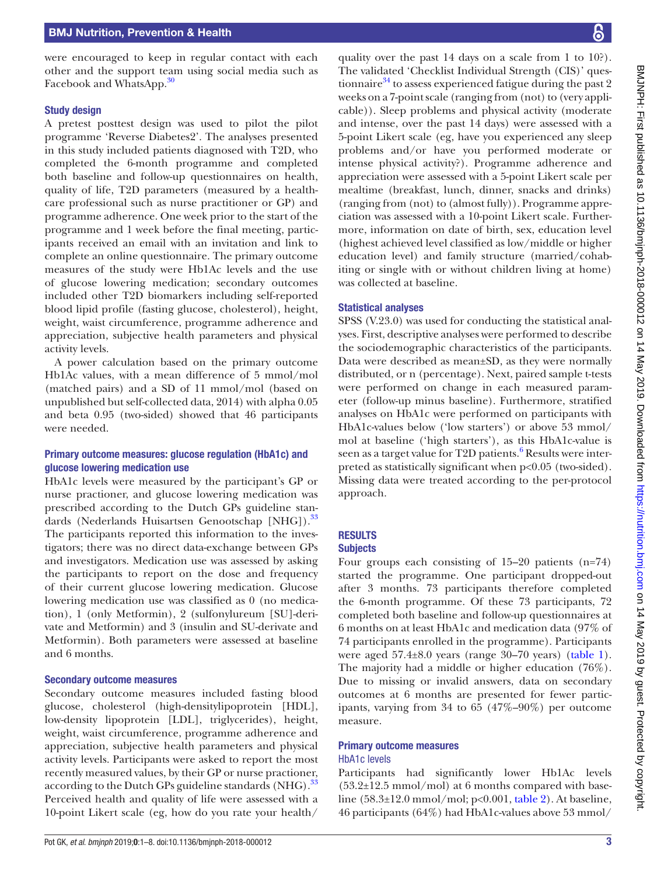were encouraged to keep in regular contact with each other and the support team using social media such as Facebook and WhatsApp.<sup>30</sup>

### Study design

A pretest posttest design was used to pilot the pilot programme 'Reverse Diabetes2'. The analyses presented in this study included patients diagnosed with T2D, who completed the 6-month programme and completed both baseline and follow-up questionnaires on health, quality of life, T2D parameters (measured by a healthcare professional such as nurse practitioner or GP) and programme adherence. One week prior to the start of the programme and 1 week before the final meeting, participants received an email with an invitation and link to complete an online questionnaire. The primary outcome measures of the study were Hb1Ac levels and the use of glucose lowering medication; secondary outcomes included other T2D biomarkers including self-reported blood lipid profile (fasting glucose, cholesterol), height, weight, waist circumference, programme adherence and appreciation, subjective health parameters and physical activity levels.

A power calculation based on the primary outcome Hb1Ac values, with a mean difference of 5 mmol/mol (matched pairs) and a SD of 11 mmol/mol (based on unpublished but self-collected data, 2014) with alpha 0.05 and beta 0.95 (two-sided) showed that 46 participants were needed.

### Primary outcome measures: glucose regulation (HbA1c) and glucose lowering medication use

HbA1c levels were measured by the participant's GP or nurse practioner, and glucose lowering medication was prescribed according to the Dutch GPs guideline standards (Nederlands Huisartsen Genootschap [NHG]).<sup>33</sup> The participants reported this information to the investigators; there was no direct data-exchange between GPs and investigators. Medication use was assessed by asking the participants to report on the dose and frequency of their current glucose lowering medication. Glucose lowering medication use was classified as 0 (no medication), 1 (only Metformin), 2 (sulfonylureum [SU]-derivate and Metformin) and 3 (insulin and SU-derivate and Metformin). Both parameters were assessed at baseline and 6 months.

### Secondary outcome measures

Secondary outcome measures included fasting blood glucose, cholesterol (high-densitylipoprotein [HDL], low-density lipoprotein [LDL], triglycerides), height, weight, waist circumference, programme adherence and appreciation, subjective health parameters and physical activity levels. Participants were asked to report the most recently measured values, by their GP or nurse practioner, according to the Dutch GPs guideline standards (NHG).<sup>[33](#page-7-6)</sup> Perceived health and quality of life were assessed with a 10-point Likert scale (eg, how do you rate your health/

quality over the past 14 days on a scale from 1 to 10?). The validated 'Checklist Individual Strength (CIS)' questionnaire $34$  to assess experienced fatigue during the past 2 weeks on a 7-point scale (ranging from (not) to (very applicable)). Sleep problems and physical activity (moderate and intense, over the past 14 days) were assessed with a 5-point Likert scale (eg, have you experienced any sleep problems and/or have you performed moderate or intense physical activity?). Programme adherence and appreciation were assessed with a 5-point Likert scale per mealtime (breakfast, lunch, dinner, snacks and drinks) (ranging from (not) to (almost fully)). Programme appreciation was assessed with a 10-point Likert scale. Furthermore, information on date of birth, sex, education level (highest achieved level classified as low/middle or higher education level) and family structure (married/cohabiting or single with or without children living at home) was collected at baseline.

### Statistical analyses

SPSS (V.23.0) was used for conducting the statistical analyses. First, descriptive analyses were performed to describe the sociodemographic characteristics of the participants. Data were described as mean±SD, as they were normally distributed, or n (percentage). Next, paired sample t-tests were performed on change in each measured parameter (follow-up minus baseline). Furthermore, stratified analyses on HbA1c were performed on participants with HbA1c-values below ('low starters') or above 53 mmol/ mol at baseline ('high starters'), as this HbA1c-value is seen as a target value for T2D patients.<sup>[6](#page-6-4)</sup> Results were interpreted as statistically significant when p<0.05 (two-sided). Missing data were treated according to the per-protocol approach.

### **RESULTS**

### **Subjects**

Four groups each consisting of 15–20 patients (n=74) started the programme. One participant dropped-out after 3 months. 73 participants therefore completed the 6-month programme. Of these 73 participants, 72 completed both baseline and follow-up questionnaires at 6 months on at least HbA1c and medication data (97% of 74 participants enrolled in the programme). Participants were aged 57.4±8.0 years (range 30–70 years) [\(table](#page-3-0) 1). The majority had a middle or higher education (76%). Due to missing or invalid answers, data on secondary outcomes at 6 months are presented for fewer participants, varying from 34 to 65 (47%–90%) per outcome measure.

#### Primary outcome measures HbA1c levels

Participants had significantly lower Hb1Ac levels  $(53.2\pm12.5 \text{ mmol/mol})$  at 6 months compared with baseline (58.3±12.0 mmol/mol; p<0.001, [table](#page-3-1) 2). At baseline, 46 participants (64%) had HbA1c-values above 53 mmol/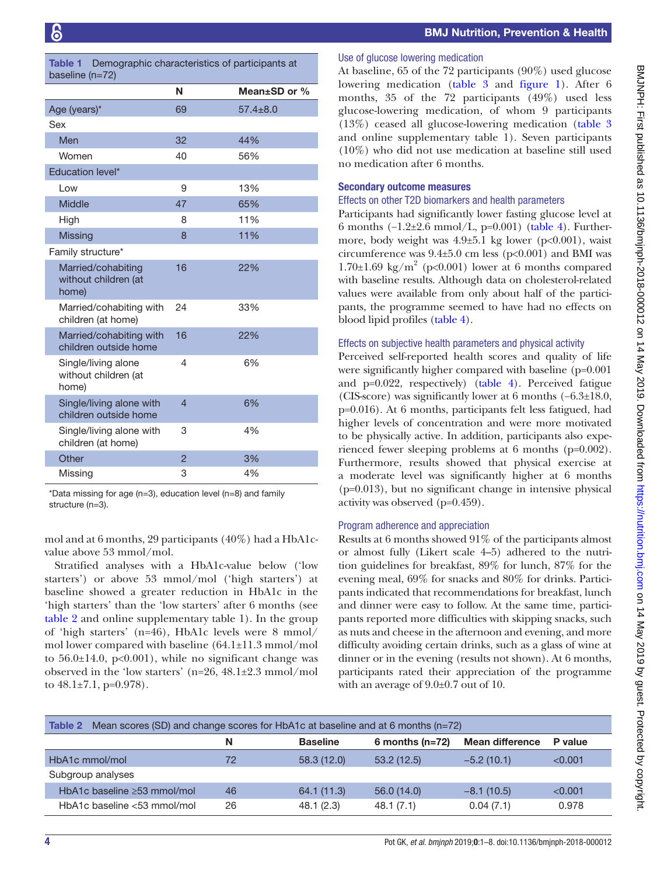<span id="page-3-0"></span>

|                 | <b>Table 1</b> Demographic characteristics of participants at |  |
|-----------------|---------------------------------------------------------------|--|
| baseline (n=72) |                                                               |  |

| $\mu$                                                |                          |                    |
|------------------------------------------------------|--------------------------|--------------------|
|                                                      | N                        | Mean $\pm$ SD or % |
| Age (years)*                                         | 69                       | $57.4 \pm 8.0$     |
| Sex                                                  |                          |                    |
| Men                                                  | 32                       | 44%                |
| Women                                                | 40                       | 56%                |
| Education level*                                     |                          |                    |
| Low                                                  | 9                        | 13%                |
| <b>Middle</b>                                        | 47                       | 65%                |
| High                                                 | 8                        | 11%                |
| <b>Missing</b>                                       | 8                        | 11%                |
| Family structure*                                    |                          |                    |
| Married/cohabiting<br>without children (at<br>home)  | 16                       | 22%                |
| Married/cohabiting with<br>children (at home)        | 24                       | 33%                |
| Married/cohabiting with<br>children outside home     | 16                       | 22%                |
| Single/living alone<br>without children (at<br>home) | 4                        | 6%                 |
| Single/living alone with<br>children outside home    | $\overline{\mathcal{L}}$ | 6%                 |
| Single/living alone with<br>children (at home)       | 3                        | 4%                 |
| Other                                                | $\overline{2}$           | 3%                 |
| Missing                                              | 3                        | 4%                 |

\*Data missing for age (n=3), education level (n=8) and family structure (n=3).

mol and at 6 months, 29 participants (40%) had a HbA1cvalue above 53 mmol/mol.

Stratified analyses with a HbA1c-value below ('low starters') or above 53 mmol/mol ('high starters') at baseline showed a greater reduction in HbA1c in the 'high starters' than the 'low starters' after 6 months (see [table](#page-3-1) 2 and [online supplementary table 1\)](https://dx.doi.org/10.1136/bmjnph-2018-000012). In the group of 'high starters' (n=46), HbA1c levels were 8 mmol/ mol lower compared with baseline (64.1±11.3 mmol/mol to  $56.0\pm14.0$ ,  $p<0.001$ ), while no significant change was observed in the 'low starters' (n=26, 48.1±2.3 mmol/mol to  $48.1 \pm 7.1$ , p=0.978).

### Use of glucose lowering medication

At baseline, 65 of the 72 participants (90%) used glucose lowering medication [\(table](#page-4-0) 3 and [figure](#page-4-1) 1). After 6 months, 35 of the 72 participants (49%) used less glucose-lowering medication, of whom 9 participants (13%) ceased all glucose-lowering medication ([table](#page-4-0) 3 and [online supplementary table 1\)](https://dx.doi.org/10.1136/bmjnph-2018-000012). Seven participants (10%) who did not use medication at baseline still used no medication after 6 months.

### Secondary outcome measures

### Effects on other T2D biomarkers and health parameters

Participants had significantly lower fasting glucose level at 6 months (−1.2±2.6 mmol/L, p=0.001) [\(table](#page-5-0) 4). Furthermore, body weight was  $4.9\pm5.1$  kg lower (p<0.001), waist circumference was  $9.4\pm5.0$  cm less (p<0.001) and BMI was 1.70 $\pm$ 1.69 kg/m<sup>2</sup> (p<0.001) lower at 6 months compared with baseline results. Although data on cholesterol-related values were available from only about half of the participants, the programme seemed to have had no effects on blood lipid profiles [\(table](#page-5-0) 4).

### Effects on subjective health parameters and physical activity

Perceived self-reported health scores and quality of life were significantly higher compared with baseline (p=0.001 and p=0.022, respectively) [\(table](#page-5-0) 4). Perceived fatigue (CIS-score) was significantly lower at 6 months (−6.3±18.0, p=0.016). At 6 months, participants felt less fatigued, had higher levels of concentration and were more motivated to be physically active. In addition, participants also experienced fewer sleeping problems at 6 months (p=0.002). Furthermore, results showed that physical exercise at a moderate level was significantly higher at 6 months (p=0.013), but no significant change in intensive physical activity was observed (p=0.459).

### Program adherence and appreciation

Results at 6 months showed 91% of the participants almost or almost fully (Likert scale 4–5) adhered to the nutrition guidelines for breakfast, 89% for lunch, 87% for the evening meal, 69% for snacks and 80% for drinks. Participants indicated that recommendations for breakfast, lunch and dinner were easy to follow. At the same time, participants reported more difficulties with skipping snacks, such as nuts and cheese in the afternoon and evening, and more difficulty avoiding certain drinks, such as a glass of wine at dinner or in the evening (results not shown). At 6 months, participants rated their appreciation of the programme with an average of 9.0±0.7 out of 10.

<span id="page-3-1"></span>

| Mean scores (SD) and change scores for HbA1c at baseline and at 6 months ( $n=72$ )<br>Table 2 |    |                 |                   |                        |         |  |
|------------------------------------------------------------------------------------------------|----|-----------------|-------------------|------------------------|---------|--|
|                                                                                                | N  | <b>Baseline</b> | 6 months $(n=72)$ | <b>Mean difference</b> | P value |  |
| HbA1c mmol/mol                                                                                 | 72 | 58.3(12.0)      | 53.2(12.5)        | $-5.2(10.1)$           | < 0.001 |  |
| Subgroup analyses                                                                              |    |                 |                   |                        |         |  |
| HbA1c baseline $\geq$ 53 mmol/mol                                                              | 46 | 64.1 (11.3)     | 56.0(14.0)        | $-8.1(10.5)$           | < 0.001 |  |
| HbA1c baseline <53 mmol/mol                                                                    | 26 | 48.1 (2.3)      | 48.1(7.1)         | 0.04(7.1)              | 0.978   |  |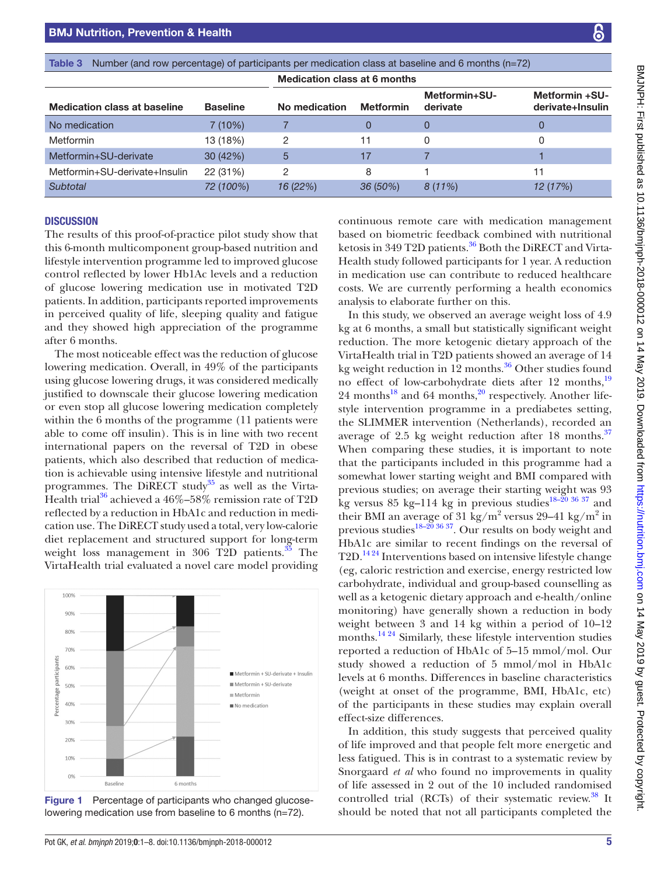<span id="page-4-0"></span>

| Number (and row percentage) of participants per medication class at baseline and 6 months (n=72)<br>Table 3 |                 |                                     |                  |                           |                                           |
|-------------------------------------------------------------------------------------------------------------|-----------------|-------------------------------------|------------------|---------------------------|-------------------------------------------|
|                                                                                                             |                 | <b>Medication class at 6 months</b> |                  |                           |                                           |
| <b>Medication class at baseline</b>                                                                         | <b>Baseline</b> | No medication                       | <b>Metformin</b> | Metformin+SU-<br>derivate | <b>Metformin +SU-</b><br>derivate+Insulin |
| No medication                                                                                               | 7(10%)          |                                     |                  | 0                         | 0                                         |
| Metformin                                                                                                   | 13 (18%)        | 2                                   | 11               | 0                         | 0                                         |
| Metformin+SU-derivate                                                                                       | 30 (42%)        | 5                                   | 17               |                           |                                           |
| Metformin+SU-derivate+Insulin                                                                               | 22 (31%)        | 2                                   | 8                |                           | 11                                        |
| Subtotal                                                                                                    | 72 (100%)       | 16 (22%)                            | $36(50\%)$       | $8(11\%)$                 | 12 (17%)                                  |

### **DISCUSSION**

The results of this proof-of-practice pilot study show that this 6-month multicomponent group-based nutrition and lifestyle intervention programme led to improved glucose control reflected by lower Hb1Ac levels and a reduction of glucose lowering medication use in motivated T2D patients. In addition, participants reported improvements in perceived quality of life, sleeping quality and fatigue and they showed high appreciation of the programme after 6 months.

BMJ Nutrition, Prevention & Health

The most noticeable effect was the reduction of glucose lowering medication. Overall, in 49% of the participants using glucose lowering drugs, it was considered medically justified to downscale their glucose lowering medication or even stop all glucose lowering medication completely within the 6 months of the programme (11 patients were able to come off insulin). This is in line with two recent international papers on the reversal of T2D in obese patients, which also described that reduction of medication is achievable using intensive lifestyle and nutritional programmes. The DiRECT study<sup>35</sup> as well as the Virta-Health trial<sup>[36](#page-7-9)</sup> achieved a  $46\% - 58\%$  remission rate of T2D reflected by a reduction in HbA1c and reduction in medication use. The DiRECT study used a total, very low-calorie diet replacement and structured support for long-term weight loss management in  $306$  T2D patients.<sup>35</sup> The VirtaHealth trial evaluated a novel care model providing

<span id="page-4-1"></span>1009 90% 80% 70% participant 60% Metformin + SU-derivate + Insuli Metformin + SU-derivate 50% Percentage Metformi 40% No medication 30% 20% 10%  $0<sup>9</sup>$ Baseline 6 months

continuous remote care with medication management based on biometric feedback combined with nutritional ketosis in 349 T2D patients.<sup>36</sup> Both the DiRECT and Virta-Health study followed participants for 1 year. A reduction in medication use can contribute to reduced healthcare costs. We are currently performing a health economics analysis to elaborate further on this.

In this study, we observed an average weight loss of 4.9 kg at 6 months, a small but statistically significant weight reduction. The more ketogenic dietary approach of the VirtaHealth trial in T2D patients showed an average of 14 kg weight reduction in  $12$  months.<sup>36</sup> Other studies found no effect of low-carbohydrate diets after 12 months,<sup>[19](#page-6-12)</sup> 24 months<sup>18</sup> and 64 months,  $20$  respectively. Another lifestyle intervention programme in a prediabetes setting, the SLIMMER intervention (Netherlands), recorded an average of 2.5 kg weight reduction after 18 months.<sup>[37](#page-7-10)</sup> When comparing these studies, it is important to note that the participants included in this programme had a somewhat lower starting weight and BMI compared with previous studies; on average their starting weight was 93 kg versus 85 kg-114 kg in previous studies<sup>18-20</sup> 36 37 and their BMI an average of 31 kg/m<sup>2</sup> versus 29-41 kg/m<sup>2</sup> in previous studies<sup>18–20 36 37</sup>. Our results on body weight and HbA1c are similar to recent findings on the reversal of T2D.[14 24](#page-6-15) Interventions based on intensive lifestyle change (eg, caloric restriction and exercise, energy restricted low carbohydrate, individual and group-based counselling as well as a ketogenic dietary approach and e-health/online monitoring) have generally shown a reduction in body weight between 3 and 14 kg within a period of 10–12 months.<sup>14 24</sup> Similarly, these lifestyle intervention studies reported a reduction of HbA1c of 5–15 mmol/mol. Our study showed a reduction of 5 mmol/mol in HbA1c levels at 6 months. Differences in baseline characteristics (weight at onset of the programme, BMI, HbA1c, etc) of the participants in these studies may explain overall effect-size differences.

In addition, this study suggests that perceived quality of life improved and that people felt more energetic and less fatigued. This is in contrast to a systematic review by Snorgaard *et al* who found no improvements in quality of life assessed in 2 out of the 10 included randomised controlled trial (RCTs) of their systematic review.<sup>38</sup> It should be noted that not all participants completed the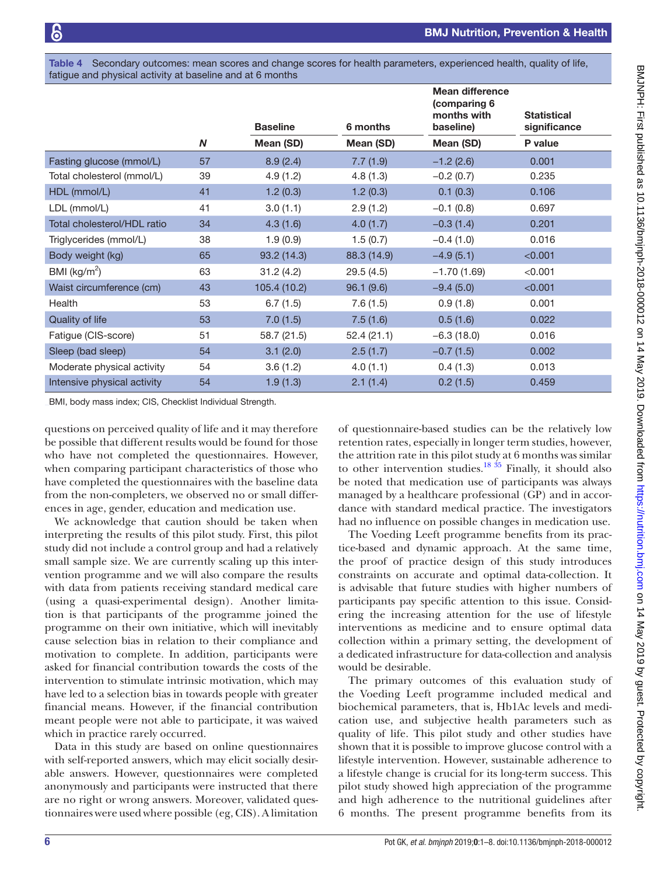<span id="page-5-0"></span>Table 4 Secondary outcomes: mean scores and change scores for health parameters, experienced health, quality of life, fatigue and physical activity at baseline and at 6 months

|                             |                  | <b>Baseline</b> | 6 months    | <b>Mean difference</b><br>(comparing 6<br>months with<br>baseline) | <b>Statistical</b><br>significance |
|-----------------------------|------------------|-----------------|-------------|--------------------------------------------------------------------|------------------------------------|
|                             | $\boldsymbol{N}$ | Mean (SD)       | Mean (SD)   | Mean (SD)                                                          | P value                            |
| Fasting glucose (mmol/L)    | 57               | 8.9(2.4)        | 7.7(1.9)    | $-1.2(2.6)$                                                        | 0.001                              |
| Total cholesterol (mmol/L)  | 39               | 4.9(1.2)        | 4.8(1.3)    | $-0.2(0.7)$                                                        | 0.235                              |
| HDL (mmol/L)                | 41               | 1.2(0.3)        | 1.2(0.3)    | 0.1(0.3)                                                           | 0.106                              |
| LDL (mmol/L)                | 41               | 3.0(1.1)        | 2.9(1.2)    | $-0.1(0.8)$                                                        | 0.697                              |
| Total cholesterol/HDL ratio | 34               | 4.3(1.6)        | 4.0(1.7)    | $-0.3(1.4)$                                                        | 0.201                              |
| Triglycerides (mmol/L)      | 38               | 1.9(0.9)        | 1.5(0.7)    | $-0.4(1.0)$                                                        | 0.016                              |
| Body weight (kg)            | 65               | 93.2 (14.3)     | 88.3 (14.9) | $-4.9(5.1)$                                                        | < 0.001                            |
| BMI ( $\text{kg/m}^2$ )     | 63               | 31.2(4.2)       | 29.5(4.5)   | $-1.70(1.69)$                                                      | < 0.001                            |
| Waist circumference (cm)    | 43               | 105.4 (10.2)    | 96.1(9.6)   | $-9.4(5.0)$                                                        | < 0.001                            |
| Health                      | 53               | 6.7(1.5)        | 7.6(1.5)    | 0.9(1.8)                                                           | 0.001                              |
| Quality of life             | 53               | 7.0(1.5)        | 7.5(1.6)    | 0.5(1.6)                                                           | 0.022                              |
| Fatigue (CIS-score)         | 51               | 58.7 (21.5)     | 52.4(21.1)  | $-6.3(18.0)$                                                       | 0.016                              |
| Sleep (bad sleep)           | 54               | 3.1(2.0)        | 2.5(1.7)    | $-0.7(1.5)$                                                        | 0.002                              |
| Moderate physical activity  | 54               | 3.6(1.2)        | 4.0(1.1)    | 0.4(1.3)                                                           | 0.013                              |
| Intensive physical activity | 54               | 1.9(1.3)        | 2.1(1.4)    | 0.2(1.5)                                                           | 0.459                              |

BMI, body mass index; CIS, Checklist Individual Strength.

questions on perceived quality of life and it may therefore be possible that different results would be found for those who have not completed the questionnaires. However, when comparing participant characteristics of those who have completed the questionnaires with the baseline data from the non-completers, we observed no or small differences in age, gender, education and medication use.

We acknowledge that caution should be taken when interpreting the results of this pilot study. First, this pilot study did not include a control group and had a relatively small sample size. We are currently scaling up this intervention programme and we will also compare the results with data from patients receiving standard medical care (using a quasi-experimental design). Another limitation is that participants of the programme joined the programme on their own initiative, which will inevitably cause selection bias in relation to their compliance and motivation to complete. In addition, participants were asked for financial contribution towards the costs of the intervention to stimulate intrinsic motivation, which may have led to a selection bias in towards people with greater financial means. However, if the financial contribution meant people were not able to participate, it was waived which in practice rarely occurred.

Data in this study are based on online questionnaires with self-reported answers, which may elicit socially desirable answers. However, questionnaires were completed anonymously and participants were instructed that there are no right or wrong answers. Moreover, validated questionnaires were used where possible (eg, CIS). A limitation

of questionnaire-based studies can be the relatively low retention rates, especially in longer term studies, however, the attrition rate in this pilot study at 6 months was similar to other intervention studies. $18 \frac{35}{18}$  Finally, it should also be noted that medication use of participants was always managed by a healthcare professional (GP) and in accordance with standard medical practice. The investigators had no influence on possible changes in medication use.

The Voeding Leeft programme benefits from its practice-based and dynamic approach. At the same time, the proof of practice design of this study introduces constraints on accurate and optimal data-collection. It is advisable that future studies with higher numbers of participants pay specific attention to this issue. Considering the increasing attention for the use of lifestyle interventions as medicine and to ensure optimal data collection within a primary setting, the development of a dedicated infrastructure for data-collection and analysis would be desirable.

The primary outcomes of this evaluation study of the Voeding Leeft programme included medical and biochemical parameters, that is, Hb1Ac levels and medication use, and subjective health parameters such as quality of life. This pilot study and other studies have shown that it is possible to improve glucose control with a lifestyle intervention. However, sustainable adherence to a lifestyle change is crucial for its long-term success. This pilot study showed high appreciation of the programme and high adherence to the nutritional guidelines after 6 months. The present programme benefits from its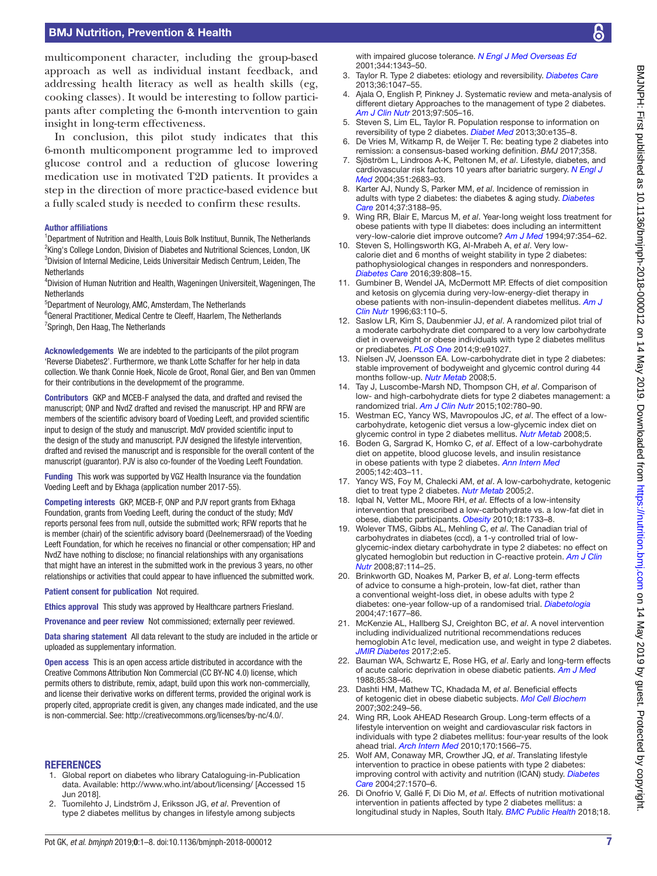### BMJ Nutrition, Prevention & Health

multicomponent character, including the group-based approach as well as individual instant feedback, and addressing health literacy as well as health skills (eg, cooking classes). It would be interesting to follow participants after completing the 6-month intervention to gain insight in long-term effectiveness.

In conclusion, this pilot study indicates that this 6-month multicomponent programme led to improved glucose control and a reduction of glucose lowering medication use in motivated T2D patients. It provides a step in the direction of more practice-based evidence but a fully scaled study is needed to confirm these results.

#### Author affiliations

<sup>1</sup>Department of Nutrition and Health, Louis Bolk Instituut, Bunnik, The Netherlands <sup>2</sup>King's College London, Division of Diabetes and Nutritional Sciences, London, UK 3 Division of Internal Medicine, Leids Universitair Medisch Centrum, Leiden, The **Netherlands** 

4 Division of Human Nutrition and Health, Wageningen Universiteit, Wageningen, The **Netherlands** 

5 Department of Neurology, AMC, Amsterdam, The Netherlands

<sup>6</sup>General Practitioner, Medical Centre te Cleeff, Haarlem, The Netherlands <sup>7</sup>Springh, Den Haag, The Netherlands

Acknowledgements We are indebted to the participants of the pilot program 'Reverse Diabetes2'. Furthermore, we thank Lotte Schaffer for her help in data collection. We thank Connie Hoek, Nicole de Groot, Ronal Gier, and Ben van Ommen for their contributions in the developmemt of the programme.

Contributors GKP and MCEB-F analysed the data, and drafted and revised the manuscript; ONP and NvdZ drafted and revised the manuscript. HP and RFW are members of the scientific advisory board of Voeding Leeft, and provided scientific input to design of the study and manuscript. MdV provided scientific input to the design of the study and manuscript. PJV designed the lifestyle intervention, drafted and revised the manuscript and is responsible for the overall content of the manuscript (guarantor). PJV is also co-founder of the Voeding Leeft Foundation.

Funding This work was supported by VGZ Health Insurance via the foundation Voeding Leeft and by Ekhaga (application number 2017-55).

Competing interests GKP, MCEB-F, ONP and PJV report grants from Ekhaga Foundation, grants from Voeding Leeft, during the conduct of the study; MdV reports personal fees from null, outside the submitted work; RFW reports that he is member (chair) of the scientific advisory board (Deelnemersraad) of the Voeding Leeft Foundation, for which he receives no financial or other compensation; HP and NvdZ have nothing to disclose; no financial relationships with any organisations that might have an interest in the submitted work in the previous 3 years, no other relationships or activities that could appear to have influenced the submitted work.

Patient consent for publication Not required.

Ethics approval This study was approved by Healthcare partners Friesland.

Provenance and peer review Not commissioned; externally peer reviewed.

Data sharing statement All data relevant to the study are included in the article or uploaded as supplementary information.

Open access This is an open access article distributed in accordance with the Creative Commons Attribution Non Commercial (CC BY-NC 4.0) license, which permits others to distribute, remix, adapt, build upon this work non-commercially, and license their derivative works on different terms, provided the original work is properly cited, appropriate credit is given, any changes made indicated, and the use is non-commercial. See: <http://creativecommons.org/licenses/by-nc/4.0/>.

#### **REFERENCES**

- <span id="page-6-0"></span>1. Global report on diabetes who library Cataloguing-in-Publication data. Available: <http://www.who.int/about/licensing/> [Accessed 15 Jun 2018].
- <span id="page-6-1"></span>2. Tuomilehto J, Lindström J, Eriksson JG, *et al*. Prevention of type 2 diabetes mellitus by changes in lifestyle among subjects

with impaired glucose tolerance. *[N Engl J Med Overseas Ed](http://dx.doi.org/10.1056/NEJM200105033441801)* 2001;344:1343–50.

- <span id="page-6-2"></span>3. Taylor R. Type 2 diabetes: etiology and reversibility. *[Diabetes Care](http://dx.doi.org/10.2337/dc12-1805)* 2013;36:1047–55.
- 4. Ajala O, English P, Pinkney J. Systematic review and meta-analysis of different dietary Approaches to the management of type 2 diabetes. *[Am J Clin Nutr](http://dx.doi.org/10.3945/ajcn.112.042457)* 2013;97:505–16.
- <span id="page-6-3"></span>5. Steven S, Lim EL, Taylor R. Population response to information on reversibility of type 2 diabetes. *[Diabet Med](http://dx.doi.org/10.1111/dme.12116)* 2013;30:e135-8.
- <span id="page-6-4"></span>6. De Vries M, Witkamp R, de Weijer T. Re: beating type 2 diabetes into remission: a consensus-based working definition. *BMJ* 2017;358.
- <span id="page-6-5"></span>7. Sjöström L, Lindroos A-K, Peltonen M, *et al*. Lifestyle, diabetes, and cardiovascular risk factors 10 years after bariatric surgery. *[N Engl J](http://dx.doi.org/10.1056/NEJMoa035622)  [Med](http://dx.doi.org/10.1056/NEJMoa035622)* 2004;351:2683–93.
- 8. Karter AJ, Nundy S, Parker MM, *et al*. Incidence of remission in adults with type 2 diabetes: the diabetes & aging study. *[Diabetes](http://dx.doi.org/10.2337/dc14-0874)  [Care](http://dx.doi.org/10.2337/dc14-0874)* 2014;37:3188–95.
- <span id="page-6-6"></span>9. Wing RR, Blair E, Marcus M, *et al*. Year-long weight loss treatment for obese patients with type II diabetes: does including an intermittent very-low-calorie diet improve outcome? *[Am J Med](http://dx.doi.org/10.1016/0002-9343(94)90302-6)* 1994;97:354–62.
- <span id="page-6-9"></span>10. Steven S, Hollingsworth KG, Al-Mrabeh A, *et al*. Very lowcalorie diet and 6 months of weight stability in type 2 diabetes: pathophysiological changes in responders and nonresponders. *[Diabetes Care](http://dx.doi.org/10.2337/dc15-1942)* 2016;39:808–15.
- <span id="page-6-7"></span>11. Gumbiner B, Wendel JA, McDermott MP. Effects of diet composition and ketosis on glycemia during very-low-energy-diet therapy in obese patients with non-insulin-dependent diabetes mellitus. *[Am J](http://dx.doi.org/10.1093/ajcn/63.1.110)  [Clin Nutr](http://dx.doi.org/10.1093/ajcn/63.1.110)* 1996;63:110–5.
- <span id="page-6-8"></span>12. Saslow LR, Kim S, Daubenmier JJ, *et al*. A randomized pilot trial of a moderate carbohydrate diet compared to a very low carbohydrate diet in overweight or obese individuals with type 2 diabetes mellitus or prediabetes. *[PLoS One](http://dx.doi.org/10.1371/journal.pone.0091027)* 2014;9:e91027.
- 13. Nielsen JV, Joensson EA. Low-carbohydrate diet in type 2 diabetes: stable improvement of bodyweight and glycemic control during 44 months follow-up. *[Nutr Metab](http://dx.doi.org/10.1186/1743-7075-5-14)* 2008;5.
- <span id="page-6-15"></span>14. Tay J, Luscombe-Marsh ND, Thompson CH, *et al*. Comparison of low- and high-carbohydrate diets for type 2 diabetes management: a randomized trial. *[Am J Clin Nutr](http://dx.doi.org/10.3945/ajcn.115.112581)* 2015;102:780–90.
- 15. Westman EC, Yancy WS, Mavropoulos JC, *et al*. The effect of a lowcarbohydrate, ketogenic diet versus a low-glycemic index diet on glycemic control in type 2 diabetes mellitus. *[Nutr Metab](http://dx.doi.org/10.1186/1743-7075-5-36)* 2008;5.
- <span id="page-6-10"></span>16. Boden G, Sargrad K, Homko C, *et al*. Effect of a low-carbohydrate diet on appetite, blood glucose levels, and insulin resistance in obese patients with type 2 diabetes. *[Ann Intern Med](http://dx.doi.org/10.7326/0003-4819-142-6-200503150-00006)* 2005;142:403–11.
- 17. Yancy WS, Foy M, Chalecki AM, *et al*. A low-carbohydrate, ketogenic diet to treat type 2 diabetes. *[Nutr Metab](http://dx.doi.org/10.1186/1743-7075-2-34)* 2005;2.
- <span id="page-6-13"></span>18. Iqbal N, Vetter ML, Moore RH, *et al*. Effects of a low-intensity intervention that prescribed a low-carbohydrate vs. a low-fat diet in obese, diabetic participants. *[Obesity](http://dx.doi.org/10.1038/oby.2009.460)* 2010;18:1733–8.
- <span id="page-6-12"></span>19. Wolever TMS, Gibbs AL, Mehling C, *et al*. The Canadian trial of carbohydrates in diabetes (ccd), a 1-y controlled trial of lowglycemic-index dietary carbohydrate in type 2 diabetes: no effect on glycated hemoglobin but reduction in C-reactive protein. *[Am J Clin](http://dx.doi.org/10.1093/ajcn/87.1.114)  [Nutr](http://dx.doi.org/10.1093/ajcn/87.1.114)* 2008;87:114–25.
- <span id="page-6-14"></span>20. Brinkworth GD, Noakes M, Parker B, *et al*. Long-term effects of advice to consume a high-protein, low-fat diet, rather than a conventional weight-loss diet, in obese adults with type 2 diabetes: one-year follow-up of a randomised trial. *[Diabetologia](http://dx.doi.org/10.1007/s00125-004-1511-7)* 2004;47:1677–86.
- 21. McKenzie AL, Hallberg SJ, Creighton BC, *et al*. A novel intervention including individualized nutritional recommendations reduces hemoglobin A1c level, medication use, and weight in type 2 diabetes. *[JMIR Diabetes](http://dx.doi.org/10.2196/diabetes.6981)* 2017;2:e5.
- 22. Bauman WA, Schwartz E, Rose HG, *et al*. Early and long-term effects of acute caloric deprivation in obese diabetic patients. *[Am J Med](http://dx.doi.org/10.1016/0002-9343(88)90500-1)* 1988;85:38–46.
- 23. Dashti HM, Mathew TC, Khadada M, *et al*. Beneficial effects of ketogenic diet in obese diabetic subjects. *[Mol Cell Biochem](http://dx.doi.org/10.1007/s11010-007-9448-z)* 2007;302:249–56.
- <span id="page-6-11"></span>24. Wing RR, Look AHEAD Research Group. Long-term effects of a lifestyle intervention on weight and cardiovascular risk factors in individuals with type 2 diabetes mellitus: four-year results of the look ahead trial. *[Arch Intern Med](http://dx.doi.org/10.1001/archinternmed.2010.334)* 2010;170:1566–75.
- 25. Wolf AM, Conaway MR, Crowther JQ, *et al*. Translating lifestyle intervention to practice in obese patients with type 2 diabetes: improving control with activity and nutrition (ICAN) study. *[Diabetes](http://dx.doi.org/10.2337/diacare.27.7.1570)  [Care](http://dx.doi.org/10.2337/diacare.27.7.1570)* 2004;27:1570–6.
- 26. Di Onofrio V, Gallé F, Di Dio M, *et al*. Effects of nutrition motivational intervention in patients affected by type 2 diabetes mellitus: a longitudinal study in Naples, South Italy. *[BMC Public Health](http://dx.doi.org/10.1186/s12889-018-6101-6)* 2018;18.